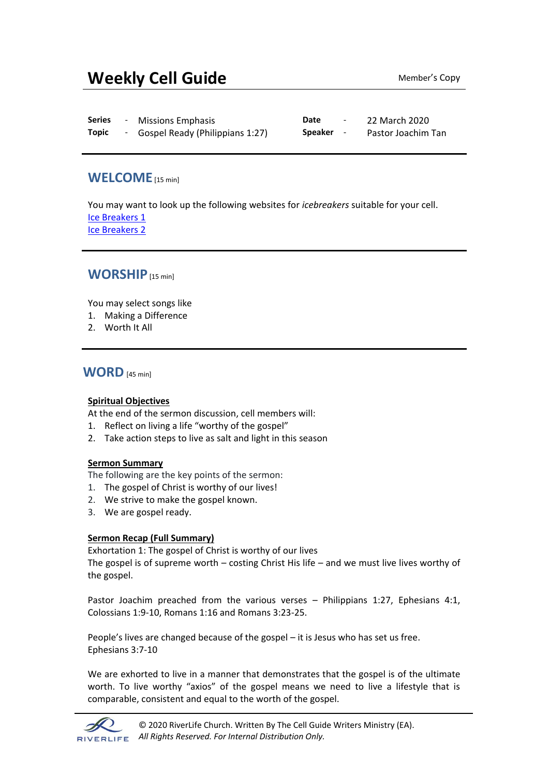# **Weekly Cell Guide** Member's Copy

| <b>Series</b> | <b>Missions Emphasis</b>          | Date    | 22 March 2020      |
|---------------|-----------------------------------|---------|--------------------|
| <b>Topic</b>  | - Gospel Ready (Philippians 1:27) | Speaker | Pastor Joachim Tan |

## **WELCOME**[15 min]

You may want to look up the following websites for *icebreakers* suitable for your cell. [Ice Breakers 1](http://www.thesource4ym.com/games/) [Ice Breakers 2](http://www.christianitytoday.com/smallgroups/articles/icebreakersbeyond.html)

## **WORSHIP**[15 min]

You may select songs like

- 1. Making a Difference
- 2. Worth It All

### **WORD** [45 min]

#### **Spiritual Objectives**

At the end of the sermon discussion, cell members will:

- 1. Reflect on living a life "worthy of the gospel"
- 2. Take action steps to live as salt and light in this season

#### **Sermon Summary**

The following are the key points of the sermon:

- 1. The gospel of Christ is worthy of our lives!
- 2. We strive to make the gospel known.
- 3. We are gospel ready.

#### **Sermon Recap (Full Summary)**

Exhortation 1: The gospel of Christ is worthy of our lives

The gospel is of supreme worth – costing Christ His life – and we must live lives worthy of the gospel.

Pastor Joachim preached from the various verses – Philippians 1:27, Ephesians 4:1, Colossians 1:9-10, Romans 1:16 and Romans 3:23-25.

People's lives are changed because of the gospel – it is Jesus who has set us free. Ephesians 3:7-10

We are exhorted to live in a manner that demonstrates that the gospel is of the ultimate worth. To live worthy "axios" of the gospel means we need to live a lifestyle that is comparable, consistent and equal to the worth of the gospel.

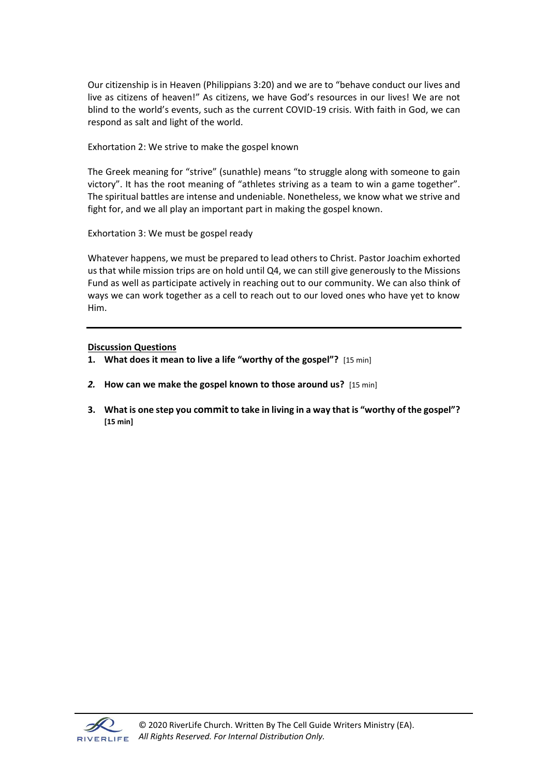Our citizenship is in Heaven (Philippians 3:20) and we are to "behave conduct our lives and live as citizens of heaven!" As citizens, we have God's resources in our lives! We are not blind to the world's events, such as the current COVID-19 crisis. With faith in God, we can respond as salt and light of the world.

Exhortation 2: We strive to make the gospel known

The Greek meaning for "strive" (sunathle) means "to struggle along with someone to gain victory". It has the root meaning of "athletes striving as a team to win a game together". The spiritual battles are intense and undeniable. Nonetheless, we know what we strive and fight for, and we all play an important part in making the gospel known.

Exhortation 3: We must be gospel ready

Whatever happens, we must be prepared to lead others to Christ. Pastor Joachim exhorted us that while mission trips are on hold until Q4, we can still give generously to the Missions Fund as well as participate actively in reaching out to our community. We can also think of ways we can work together as a cell to reach out to our loved ones who have yet to know Him.

#### **Discussion Questions**

- **1. What does it mean to live a life "worthy of the gospel"?** [15 min]
- *2.* **How can we make the gospel known to those around us?** [15 min]
- **3. What is one step you committo take in living in a way that is "worthy of the gospel"? [15 min]**